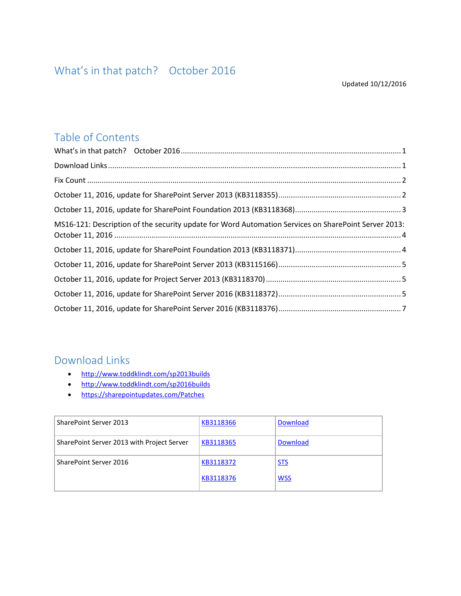## <span id="page-0-0"></span>Table of Contents

| MS16-121: Description of the security update for Word Automation Services on SharePoint Server 2013: |  |
|------------------------------------------------------------------------------------------------------|--|
|                                                                                                      |  |
|                                                                                                      |  |
|                                                                                                      |  |
|                                                                                                      |  |
|                                                                                                      |  |

## <span id="page-0-1"></span>Download Links

- <http://www.toddklindt.com/sp2013builds>
- <http://www.toddklindt.com/sp2016builds>
- <https://sharepointupdates.com/Patches>

| SharePoint Server 2013                     | KB3118366 | <b>Download</b> |
|--------------------------------------------|-----------|-----------------|
| SharePoint Server 2013 with Project Server | KB3118365 | <b>Download</b> |
| SharePoint Server 2016                     | KB3118372 | <b>STS</b>      |
|                                            | KB3118376 | <b>WSS</b>      |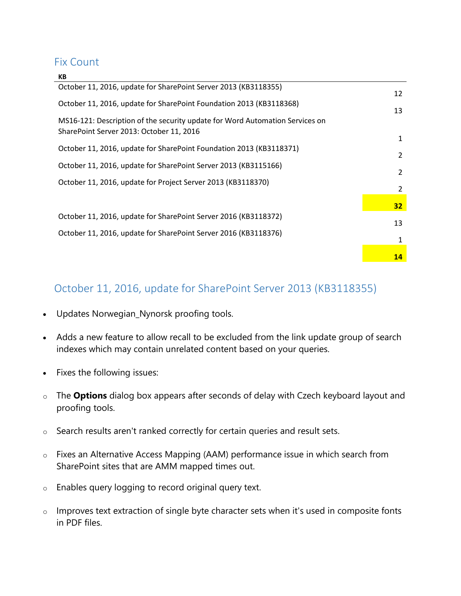#### <span id="page-1-0"></span>Fix Count

| КB                                                                           |               |
|------------------------------------------------------------------------------|---------------|
| October 11, 2016, update for SharePoint Server 2013 (KB3118355)              | 12            |
| October 11, 2016, update for SharePoint Foundation 2013 (KB3118368)          | 13            |
| MS16-121: Description of the security update for Word Automation Services on |               |
| SharePoint Server 2013: October 11, 2016                                     | 1             |
| October 11, 2016, update for SharePoint Foundation 2013 (KB3118371)          | $\mathcal{P}$ |
| October 11, 2016, update for SharePoint Server 2013 (KB3115166)              | $\mathcal{P}$ |
| October 11, 2016, update for Project Server 2013 (KB3118370)                 | 2             |
|                                                                              | 32            |
| October 11, 2016, update for SharePoint Server 2016 (KB3118372)              | 13            |
| October 11, 2016, update for SharePoint Server 2016 (KB3118376)              | 1             |
|                                                                              | 14            |
|                                                                              |               |

# <span id="page-1-1"></span>October 11, 2016, update for SharePoint Server 2013 (KB3118355)

- Updates Norwegian\_Nynorsk proofing tools.
- Adds a new feature to allow recall to be excluded from the link update group of search indexes which may contain unrelated content based on your queries.
- Fixes the following issues:
- o The **Options** dialog box appears after seconds of delay with Czech keyboard layout and proofing tools.
- o Search results aren't ranked correctly for certain queries and result sets.
- o Fixes an Alternative Access Mapping (AAM) performance issue in which search from SharePoint sites that are AMM mapped times out.
- o Enables query logging to record original query text.
- o Improves text extraction of single byte character sets when it's used in composite fonts in PDF files.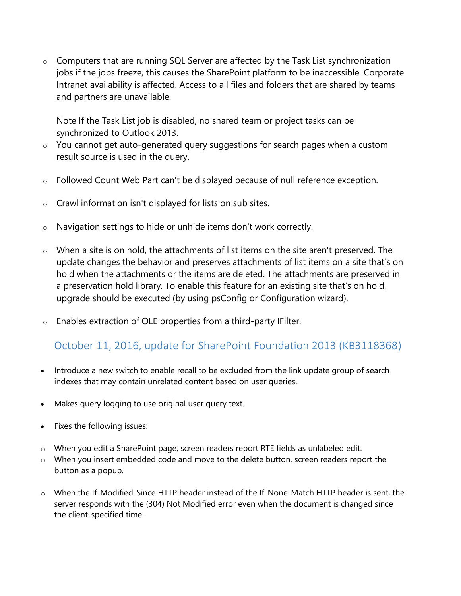$\circ$  Computers that are running SQL Server are affected by the Task List synchronization jobs if the jobs freeze, this causes the SharePoint platform to be inaccessible. Corporate Intranet availability is affected. Access to all files and folders that are shared by teams and partners are unavailable.

Note If the Task List job is disabled, no shared team or project tasks can be synchronized to Outlook 2013.

- o You cannot get auto-generated query suggestions for search pages when a custom result source is used in the query.
- $\circ$  Followed Count Web Part can't be displayed because of null reference exception.
- $\circ$  Crawl information isn't displayed for lists on sub sites.
- o Navigation settings to hide or unhide items don't work correctly.
- $\circ$  When a site is on hold, the attachments of list items on the site aren't preserved. The update changes the behavior and preserves attachments of list items on a site that's on hold when the attachments or the items are deleted. The attachments are preserved in a preservation hold library. To enable this feature for an existing site that's on hold, upgrade should be executed (by using psConfig or Configuration wizard).
- $\circ$  Enables extraction of OLE properties from a third-party IFilter.

## <span id="page-2-0"></span>October 11, 2016, update for SharePoint Foundation 2013 (KB3118368)

- Introduce a new switch to enable recall to be excluded from the link update group of search indexes that may contain unrelated content based on user queries.
- Makes query logging to use original user query text.
- Fixes the following issues:
- o When you edit a SharePoint page, screen readers report RTE fields as unlabeled edit.
- o When you insert embedded code and move to the delete button, screen readers report the button as a popup.
- o When the If-Modified-Since HTTP header instead of the If-None-Match HTTP header is sent, the server responds with the (304) Not Modified error even when the document is changed since the client-specified time.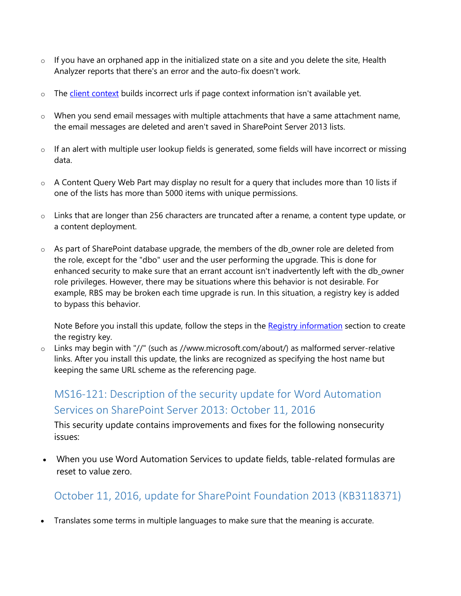- $\circ$  If you have an orphaned app in the initialized state on a site and you delete the site, Health Analyzer reports that there's an error and the auto-fix doesn't work.
- o The [client context](https://msdn.microsoft.com/library/office/jj245759.aspx) builds incorrect urls if page context information isn't available yet.
- $\circ$  When you send email messages with multiple attachments that have a same attachment name, the email messages are deleted and aren't saved in SharePoint Server 2013 lists.
- o If an alert with multiple user lookup fields is generated, some fields will have incorrect or missing data.
- $\circ$  A Content Query Web Part may display no result for a query that includes more than 10 lists if one of the lists has more than 5000 items with unique permissions.
- $\circ$  Links that are longer than 256 characters are truncated after a rename, a content type update, or a content deployment.
- o As part of SharePoint database upgrade, the members of the db\_owner role are deleted from the role, except for the "dbo" user and the user performing the upgrade. This is done for enhanced security to make sure that an errant account isn't inadvertently left with the db\_owner role privileges. However, there may be situations where this behavior is not desirable. For example, RBS may be broken each time upgrade is run. In this situation, a registry key is added to bypass this behavior.

Note Before you install this update, follow the steps in the Registry information section to create the registry key.

o Links may begin with "//" (such as //www.microsoft.com/about/) as malformed server-relative links. After you install this update, the links are recognized as specifying the host name but keeping the same URL scheme as the referencing page.

# <span id="page-3-0"></span>MS16-121: Description of the security update for Word Automation Services on SharePoint Server 2013: October 11, 2016

This security update contains improvements and fixes for the following nonsecurity issues:

 When you use Word Automation Services to update fields, table-related formulas are reset to value zero.

# <span id="page-3-1"></span>October 11, 2016, update for SharePoint Foundation 2013 (KB3118371)

Translates some terms in multiple languages to make sure that the meaning is accurate.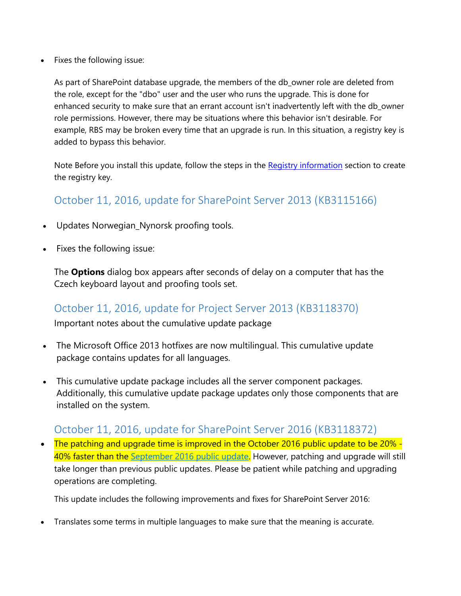Fixes the following issue:

As part of SharePoint database upgrade, the members of the db\_owner role are deleted from the role, except for the "dbo" user and the user who runs the upgrade. This is done for enhanced security to make sure that an errant account isn't inadvertently left with the db\_owner role permissions. However, there may be situations where this behavior isn't desirable. For example, RBS may be broken every time that an upgrade is run. In this situation, a registry key is added to bypass this behavior.

Note Before you install this update, follow the steps in the Registry information section to create the registry key.

## <span id="page-4-0"></span>October 11, 2016, update for SharePoint Server 2013 (KB3115166)

- Updates Norwegian\_Nynorsk proofing tools.
- Fixes the following issue:

The **Options** dialog box appears after seconds of delay on a computer that has the Czech keyboard layout and proofing tools set.

### <span id="page-4-1"></span>October 11, 2016, update for Project Server 2013 (KB3118370)

Important notes about the cumulative update package

- The Microsoft Office 2013 hotfixes are now multilingual. This cumulative update package contains updates for all languages.
- This cumulative update package includes all the server component packages. Additionally, this cumulative update package updates only those components that are installed on the system.

### <span id="page-4-2"></span>October 11, 2016, update for SharePoint Server 2016 (KB3118372)

• The patching and upgrade time is improved in the October 2016 public update to be 20% -40% faster than the [September 2016 public update.](https://support.microsoft.com/kb/3118289) However, patching and upgrade will still take longer than previous public updates. Please be patient while patching and upgrading operations are completing.

This update includes the following improvements and fixes for SharePoint Server 2016:

Translates some terms in multiple languages to make sure that the meaning is accurate.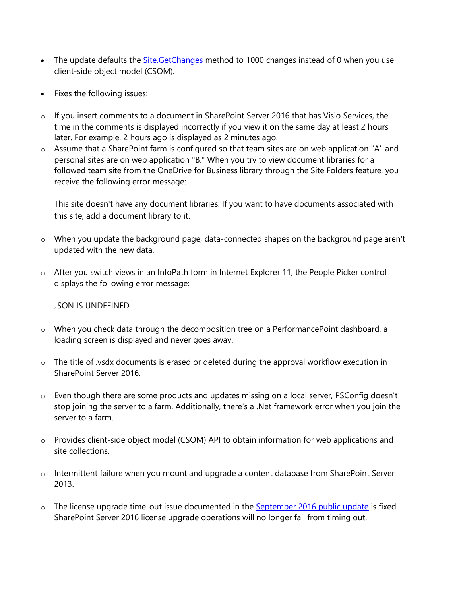- The update defaults the **Site.GetChanges** method to 1000 changes instead of 0 when you use client-side object model (CSOM).
- Fixes the following issues:
- o If you insert comments to a document in SharePoint Server 2016 that has Visio Services, the time in the comments is displayed incorrectly if you view it on the same day at least 2 hours later. For example, 2 hours ago is displayed as 2 minutes ago.
- o Assume that a SharePoint farm is configured so that team sites are on web application "A" and personal sites are on web application "B." When you try to view document libraries for a followed team site from the OneDrive for Business library through the Site Folders feature, you receive the following error message:

This site doesn't have any document libraries. If you want to have documents associated with this site, add a document library to it.

- o When you update the background page, data-connected shapes on the background page aren't updated with the new data.
- o After you switch views in an InfoPath form in Internet Explorer 11, the People Picker control displays the following error message:

#### JSON IS UNDEFINED

- o When you check data through the decomposition tree on a PerformancePoint dashboard, a loading screen is displayed and never goes away.
- o The title of .vsdx documents is erased or deleted during the approval workflow execution in SharePoint Server 2016.
- o Even though there are some products and updates missing on a local server, PSConfig doesn't stop joining the server to a farm. Additionally, there's a .Net framework error when you join the server to a farm.
- o Provides client-side object model (CSOM) API to obtain information for web applications and site collections.
- o Intermittent failure when you mount and upgrade a content database from SharePoint Server 2013.
- o The license upgrade time-out issue documented in the **September 2016 public update** is fixed. SharePoint Server 2016 license upgrade operations will no longer fail from timing out.